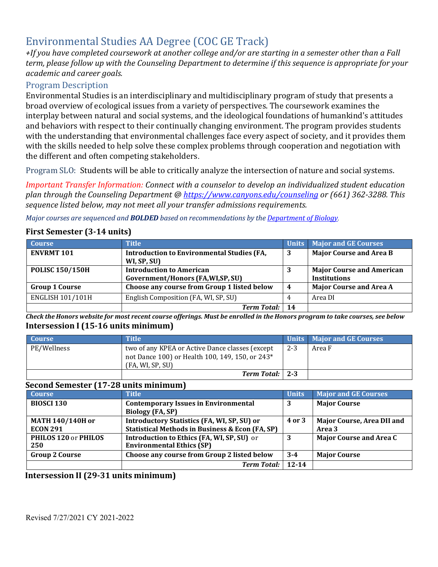# Environmental Studies AA Degree (COC GE Track)

*+If you have completed coursework at another college and/or are starting in a semester other than a Fall term, please follow up with the Counseling Department to determine if this sequence is appropriate for your academic and career goals.*

# Program Description

Environmental Studies is an interdisciplinary and multidisciplinary program of study that presents a broad overview of ecological issues from a variety of perspectives. The coursework examines the interplay between natural and social systems, and the ideological foundations of humankind's attitudes and behaviors with respect to their continually changing environment. The program provides students with the understanding that environmental challenges face every aspect of society, and it provides them with the skills needed to help solve these complex problems through cooperation and negotiation with the different and often competing stakeholders.

Program SLO: Students will be able to critically analyze the intersection of nature and social systems.

*Important Transfer Information: Connect with a counselor to develop an individualized student education plan through the Counseling Department @<https://www.canyons.edu/counseling> or (661) 362-3288. This sequence listed below, may not meet all your transfer admissions requirements.*

*Major courses are sequenced and BOLDED based on recommendations by the Department of Biology.* 

## **First Semester** (3-14 units)

| <b>Course</b>           | <b>Title</b>                                                     |                  | Units Major and GE Courses       |
|-------------------------|------------------------------------------------------------------|------------------|----------------------------------|
| <b>ENVRMT 101</b>       | <b>Introduction to Environmental Studies (FA,</b><br>WI, SP, SU) | 3                | <b>Major Course and Area B</b>   |
| <b>POLISC 150/150H</b>  | <b>Introduction to American</b>                                  |                  | <b>Major Course and American</b> |
|                         | Government/Honors (FA, WI, SP, SU)                               |                  | <b>Institutions</b>              |
| <b>Group 1 Course</b>   | Choose any course from Group 1 listed below                      | $\boldsymbol{4}$ | <b>Major Course and Area A</b>   |
| <b>ENGLISH 101/101H</b> | English Composition (FA, WI, SP, SU)                             |                  | Area DI                          |
|                         | <b>Term Total:</b>                                               | 14               |                                  |

Check the Honors website for most recent course offerings. Must be enrolled in the Honors program to take courses, see below **Intersession I (15-16 units minimum)**

| <b>Course</b> | <b>Title</b>                                                                                                                       |         | Units Major and GE Courses |
|---------------|------------------------------------------------------------------------------------------------------------------------------------|---------|----------------------------|
| PE/Wellness   | two of any KPEA or Active Dance classes (except<br>not Dance 100) or Health 100, 149, 150, or 243 <sup>*</sup><br>(FA, WI, SP, SU) | $2 - 3$ | Area F                     |
|               | Term Total:   2-3                                                                                                                  |         |                            |

# **Second Semester (17-28 units minimum)**

| <b>Course</b>           | <b>Title</b>                                               | Units     | <b>Major and GE Courses</b>    |
|-------------------------|------------------------------------------------------------|-----------|--------------------------------|
| <b>BIOSCI 130</b>       | <b>Contemporary Issues in Environmental</b>                | 3         | <b>Major Course</b>            |
|                         | <b>Biology (FA, SP)</b>                                    |           |                                |
| <b>MATH 140/140H or</b> | <b>Introductory Statistics (FA, WI, SP, SU) or</b>         | 4 or 3    | Major Course, Area DII and     |
| <b>ECON 291</b>         | <b>Statistical Methods in Business &amp; Econ (FA, SP)</b> |           | Area 3                         |
| PHILOS 120 or PHILOS    | Introduction to Ethics (FA, WI, SP, SU) or                 | 3         | <b>Major Course and Area C</b> |
| 250                     | <b>Environmental Ethics (SP)</b>                           |           |                                |
| <b>Group 2 Course</b>   | Choose any course from Group 2 listed below                | $3 - 4$   | <b>Major Course</b>            |
|                         | <b>Term Total:</b>                                         | $12 - 14$ |                                |

### **Intersession II (29-31 units minimum)**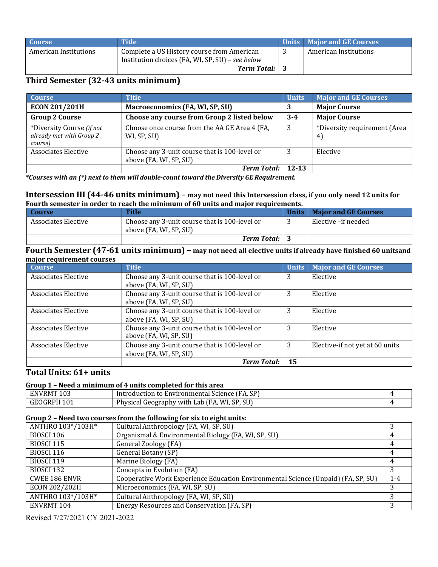| <b>Course</b>         | <b>Title</b>                                     | Units   Major and GE Courses |
|-----------------------|--------------------------------------------------|------------------------------|
| American Institutions | Complete a US History course from American       | American Institutions        |
|                       | Institution choices (FA, WI, SP, SU) - see below |                              |
|                       | <b>Term Total:</b>                               |                              |

# **Third Semester** (32-43 units minimum)

| <b>Course</b>                                                    | <b>Title</b>                                                            | <b>Units</b> | <b>Major and GE Courses</b>       |
|------------------------------------------------------------------|-------------------------------------------------------------------------|--------------|-----------------------------------|
| ECON 201/201H                                                    | Macroeconomics (FA, WI, SP, SU)                                         | 3            | <b>Major Course</b>               |
| <b>Group 2 Course</b>                                            | Choose any course from Group 2 listed below                             | $3 - 4$      | <b>Major Course</b>               |
| *Diversity Course (if not<br>already met with Group 2<br>course) | Choose once course from the AA GE Area 4 (FA,<br>WI, SP, SU)            | 3            | *Diversity requirement (Area<br>4 |
| <b>Associates Elective</b>                                       | Choose any 3-unit course that is 100-level or<br>above (FA, WI, SP, SU) | 3            | Elective                          |
|                                                                  | <b>Term Total:</b>                                                      | $12 - 13$    |                                   |

*\*Courses with an (\*) next to them will double-count toward the Diversity GE Requirement.*

#### **Intersession III (44-46 units minimum) – may not need this Intersession class, if you only need 12 units for Fourth semester in order to reach the minimum of 60 units and major requirements.**

| Course              | Title                                         | Units   Maior and GE Courses |
|---------------------|-----------------------------------------------|------------------------------|
| Associates Elective | Choose any 3-unit course that is 100-level or | Elective –if needed          |
|                     | above (FA, WI, SP, SU)                        |                              |
|                     | <b>Term Total:</b> 3                          |                              |

#### **Fourth Semester (47-61 units minimum) – may not need all elective units if already have finished 60 unitsand major requirement courses**

| <b>Course</b>              | <b>Title</b>                                  | <b>Units</b> | <b>Major and GE Courses</b>     |
|----------------------------|-----------------------------------------------|--------------|---------------------------------|
| <b>Associates Elective</b> | Choose any 3-unit course that is 100-level or | 3            | Elective                        |
|                            | above (FA, WI, SP, SU)                        |              |                                 |
| Associates Elective        | Choose any 3-unit course that is 100-level or | 3            | Elective                        |
|                            | above (FA, WI, SP, SU)                        |              |                                 |
| <b>Associates Elective</b> | Choose any 3-unit course that is 100-level or | 3            | Elective                        |
|                            | above (FA, WI, SP, SU)                        |              |                                 |
| <b>Associates Elective</b> | Choose any 3-unit course that is 100-level or | 3            | Elective                        |
|                            | above (FA, WI, SP, SU)                        |              |                                 |
| Associates Elective        | Choose any 3-unit course that is 100-level or | 3            | Elective-if not yet at 60 units |
|                            | above (FA, WI, SP, SU)                        |              |                                 |
|                            | <b>Term Total:</b>                            | 15           |                                 |

### **Total Units: 61+ units**

#### **Group 1 – Need a minimum of 4 units completed for this area**

| 103<br>ENVRM.        | A. SP<br>ſFA.<br>lntroduction to Environmental<br>Science                  |  |
|----------------------|----------------------------------------------------------------------------|--|
| 101<br>GEOGRI<br>₹Ph | Physical<br><b>SU</b><br>$1.$ SP<br>WI<br>Geography<br>Lab<br>with<br>'FA. |  |

#### **Group 2 – Need two courses from the following for six to eight units:**

| ANTHRO 103*/103H*    | Cultural Anthropology (FA, WI, SP, SU)                                            |         |
|----------------------|-----------------------------------------------------------------------------------|---------|
| BIOSCI 106           | Organismal & Environmental Biology (FA, WI, SP, SU)                               |         |
| <b>BIOSCI 115</b>    | General Zoology (FA)                                                              |         |
| <b>BIOSCI 116</b>    | General Botany (SP)                                                               |         |
| <b>BIOSCI 119</b>    | Marine Biology (FA)                                                               |         |
| <b>BIOSCI 132</b>    | Concepts in Evolution (FA)                                                        |         |
| <b>CWEE 186 ENVR</b> | Cooperative Work Experience Education Environmental Science (Unpaid) (FA, SP, SU) | $1 - 4$ |
| ECON 202/202H        | Microeconomics (FA, WI, SP, SU)                                                   |         |
| ANTHRO 103*/103H*    | Cultural Anthropology (FA, WI, SP, SU)                                            |         |
| ENVRMT 104           | Energy Resources and Conservation (FA, SP)                                        |         |

Revised 7/27/2021 CY 2021-2022